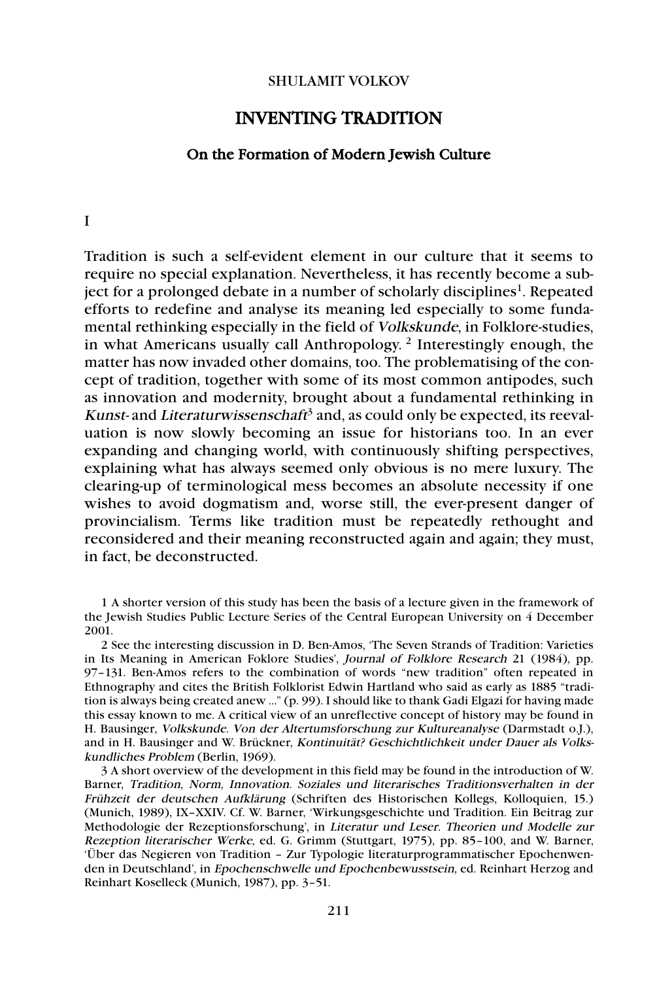## SHULAMIT VOLKOV

## INVENTING TRADITION

## On the Formation of Modern Jewish Culture

I

Tradition is such a self-evident element in our culture that it seems to require no special explanation. Nevertheless, it has recently become a subject for a prolonged debate in a number of scholarly disciplines<sup>1</sup>. Repeated efforts to redefine and analyse its meaning led especially to some fundamental rethinking especially in the field of Volkskunde, in Folklore-studies, in what Americans usually call Anthropology. <sup>2</sup> Interestingly enough, the matter has now invaded other domains, too. The problematising of the concept of tradition, together with some of its most common antipodes, such as innovation and modernity, brought about a fundamental rethinking in Kunst- and Literaturwissenschaft<sup>3</sup> and, as could only be expected, its reevaluation is now slowly becoming an issue for historians too. In an ever expanding and changing world, with continuously shifting perspectives, explaining what has always seemed only obvious is no mere luxury. The clearing-up of terminological mess becomes an absolute necessity if one wishes to avoid dogmatism and, worse still, the ever-present danger of provincialism. Terms like tradition must be repeatedly rethought and reconsidered and their meaning reconstructed again and again; they must, in fact, be deconstructed.

2 See the interesting discussion in D. Ben-Amos, 'The Seven Strands of Tradition: Varieties in Its Meaning in American Foklore Studies', Journal of Folklore Research 21 (1984), pp. 97–131. Ben-Amos refers to the combination of words "new tradition" often repeated in Ethnography and cites the British Folklorist Edwin Hartland who said as early as 1885 "tradition is always being created anew ..." (p. 99). I should like to thank Gadi Elgazi for having made this essay known to me. A critical view of an unreflective concept of history may be found in H. Bausinger, Volkskunde. Von der Altertumsforschung zur Kultureanalyse (Darmstadt o.J.), and in H. Bausinger and W. Brückner, Kontinuität? Geschichtlichkeit under Dauer als Volkskundliches Problem (Berlin, 1969).

3 A short overview of the development in this field may be found in the introduction of W. Barner, Tradition, Norm, Innovation. Soziales und literarisches Traditionsverhalten in der Frühzeit der deutschen Aufklärung (Schriften des Historischen Kollegs, Kolloquien, 15.) (Munich, 1989), IX–XXIV. Cf. W. Barner, 'Wirkungsgeschichte und Tradition. Ein Beitrag zur Methodologie der Rezeptionsforschung', in Literatur und Leser. Theorien und Modelle zur Rezeption literarischer Werke, ed. G. Grimm (Stuttgart, 1975), pp. 85–100, and W. Barner, 'Über das Negieren von Tradition – Zur Typologie literaturprogrammatischer Epochenwenden in Deutschland', in Epochenschwelle und Epochenbewusstsein, ed. Reinhart Herzog and Reinhart Koselleck (Munich, 1987), pp. 3–51.

<sup>1</sup> A shorter version of this study has been the basis of a lecture given in the framework of the Jewish Studies Public Lecture Series of the Central European University on 4 December 2001.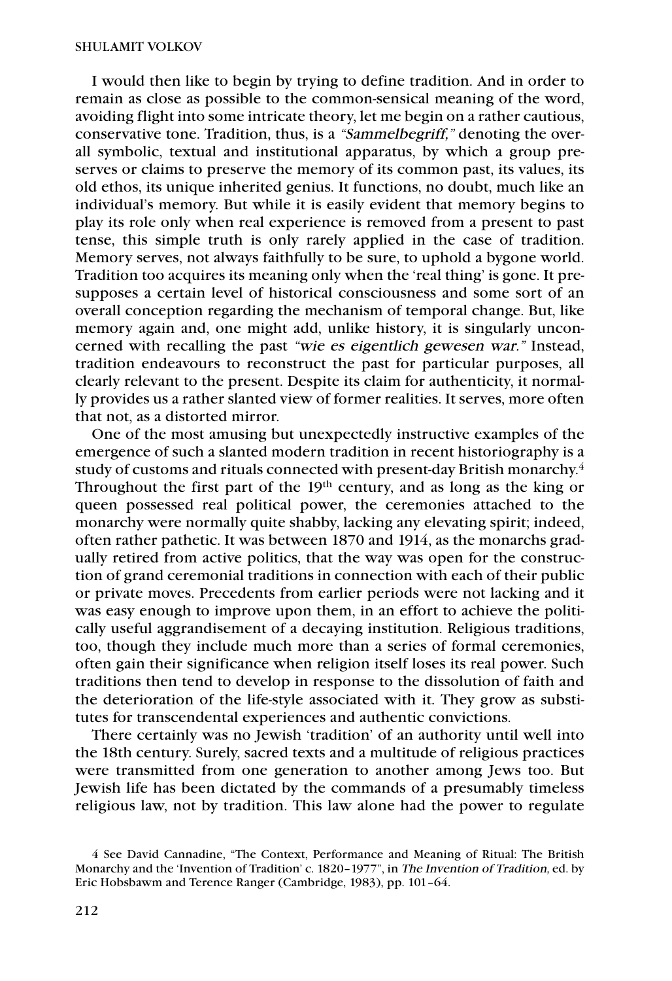I would then like to begin by trying to define tradition. And in order to remain as close as possible to the common-sensical meaning of the word, avoiding flight into some intricate theory, let me begin on a rather cautious, conservative tone. Tradition, thus, is a "Sammelbegriff," denoting the overall symbolic, textual and institutional apparatus, by which a group preserves or claims to preserve the memory of its common past, its values, its old ethos, its unique inherited genius. It functions, no doubt, much like an individual's memory. But while it is easily evident that memory begins to play its role only when real experience is removed from a present to past tense, this simple truth is only rarely applied in the case of tradition. Memory serves, not always faithfully to be sure, to uphold a bygone world. Tradition too acquires its meaning only when the 'real thing' is gone. It presupposes a certain level of historical consciousness and some sort of an overall conception regarding the mechanism of temporal change. But, like memory again and, one might add, unlike history, it is singularly unconcerned with recalling the past "wie es eigentlich gewesen war." Instead, tradition endeavours to reconstruct the past for particular purposes, all clearly relevant to the present. Despite its claim for authenticity, it normally provides us a rather slanted view of former realities. It serves, more often that not, as a distorted mirror.

One of the most amusing but unexpectedly instructive examples of the emergence of such a slanted modern tradition in recent historiography is a study of customs and rituals connected with present-day British monarchy. $^4$ Throughout the first part of the 19th century, and as long as the king or queen possessed real political power, the ceremonies attached to the monarchy were normally quite shabby, lacking any elevating spirit; indeed, often rather pathetic. It was between 1870 and 1914, as the monarchs gradually retired from active politics, that the way was open for the construction of grand ceremonial traditions in connection with each of their public or private moves. Precedents from earlier periods were not lacking and it was easy enough to improve upon them, in an effort to achieve the politically useful aggrandisement of a decaying institution. Religious traditions, too, though they include much more than a series of formal ceremonies, often gain their significance when religion itself loses its real power. Such traditions then tend to develop in response to the dissolution of faith and the deterioration of the life-style associated with it. They grow as substitutes for transcendental experiences and authentic convictions.

There certainly was no Jewish 'tradition' of an authority until well into the 18th century. Surely, sacred texts and a multitude of religious practices were transmitted from one generation to another among Jews too. But Jewish life has been dictated by the commands of a presumably timeless religious law, not by tradition. This law alone had the power to regulate

<sup>4</sup> See David Cannadine, "The Context, Performance and Meaning of Ritual: The British Monarchy and the 'Invention of Tradition' c. 1820–1977", in The Invention of Tradition, ed. by Eric Hobsbawm and Terence Ranger (Cambridge, 1983), pp. 101–64.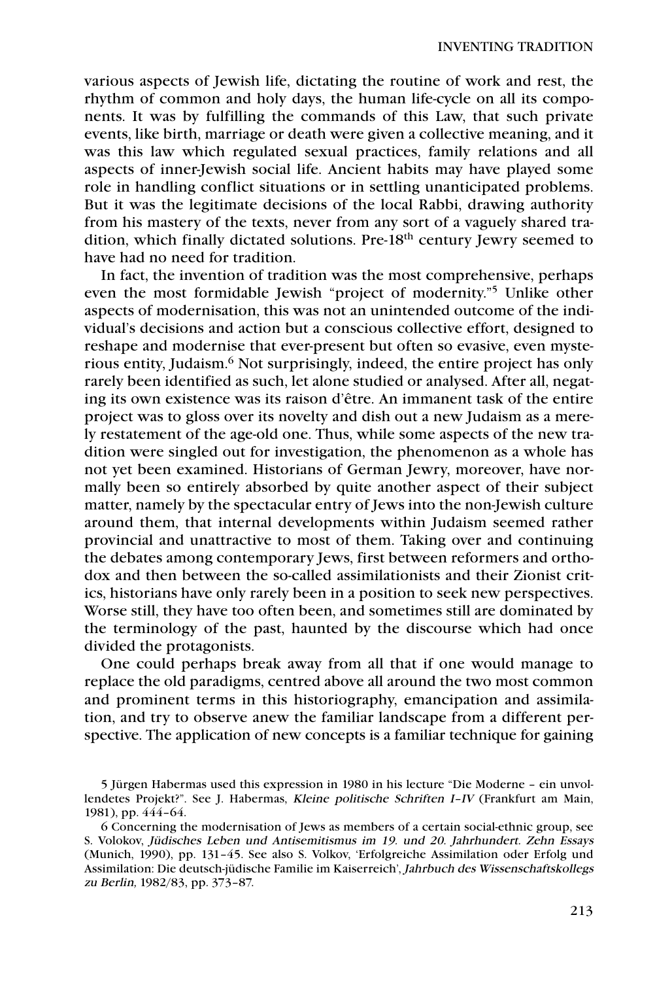various aspects of Jewish life, dictating the routine of work and rest, the rhythm of common and holy days, the human life-cycle on all its components. It was by fulfilling the commands of this Law, that such private events, like birth, marriage or death were given a collective meaning, and it was this law which regulated sexual practices, family relations and all aspects of inner-Jewish social life. Ancient habits may have played some role in handling conflict situations or in settling unanticipated problems. But it was the legitimate decisions of the local Rabbi, drawing authority from his mastery of the texts, never from any sort of a vaguely shared tradition, which finally dictated solutions. Pre-18<sup>th</sup> century Jewry seemed to have had no need for tradition.

In fact, the invention of tradition was the most comprehensive, perhaps even the most formidable Jewish "project of modernity."5 Unlike other aspects of modernisation, this was not an unintended outcome of the individual's decisions and action but a conscious collective effort, designed to reshape and modernise that ever-present but often so evasive, even mysterious entity, Judaism.6 Not surprisingly, indeed, the entire project has only rarely been identified as such, let alone studied or analysed. After all, negating its own existence was its raison d'être. An immanent task of the entire project was to gloss over its novelty and dish out a new Judaism as a merely restatement of the age-old one. Thus, while some aspects of the new tradition were singled out for investigation, the phenomenon as a whole has not yet been examined. Historians of German Jewry, moreover, have normally been so entirely absorbed by quite another aspect of their subject matter, namely by the spectacular entry of Jews into the non-Jewish culture around them, that internal developments within Judaism seemed rather provincial and unattractive to most of them. Taking over and continuing the debates among contemporary Jews, first between reformers and orthodox and then between the so-called assimilationists and their Zionist critics, historians have only rarely been in a position to seek new perspectives. Worse still, they have too often been, and sometimes still are dominated by the terminology of the past, haunted by the discourse which had once divided the protagonists.

One could perhaps break away from all that if one would manage to replace the old paradigms, centred above all around the two most common and prominent terms in this historiography, emancipation and assimilation, and try to observe anew the familiar landscape from a different perspective. The application of new concepts is a familiar technique for gaining

<sup>5</sup> Jürgen Habermas used this expression in 1980 in his lecture "Die Moderne – ein unvollendetes Projekt?". See J. Habermas, Kleine politische Schriften I–IV (Frankfurt am Main, 1981), pp. 444–64.

<sup>6</sup> Concerning the modernisation of Jews as members of a certain social-ethnic group, see S. Volokov, Jüdisches Leben und Antisemitismus im 19. und 20. Jahrhundert. Zehn Essays (Munich, 1990), pp. 131–45. See also S. Volkov, 'Erfolgreiche Assimilation oder Erfolg und Assimilation: Die deutsch-jüdische Familie im Kaiserreich', Jahrbuch des Wissenschaftskollegs zu Berlin, 1982/83, pp. 373–87.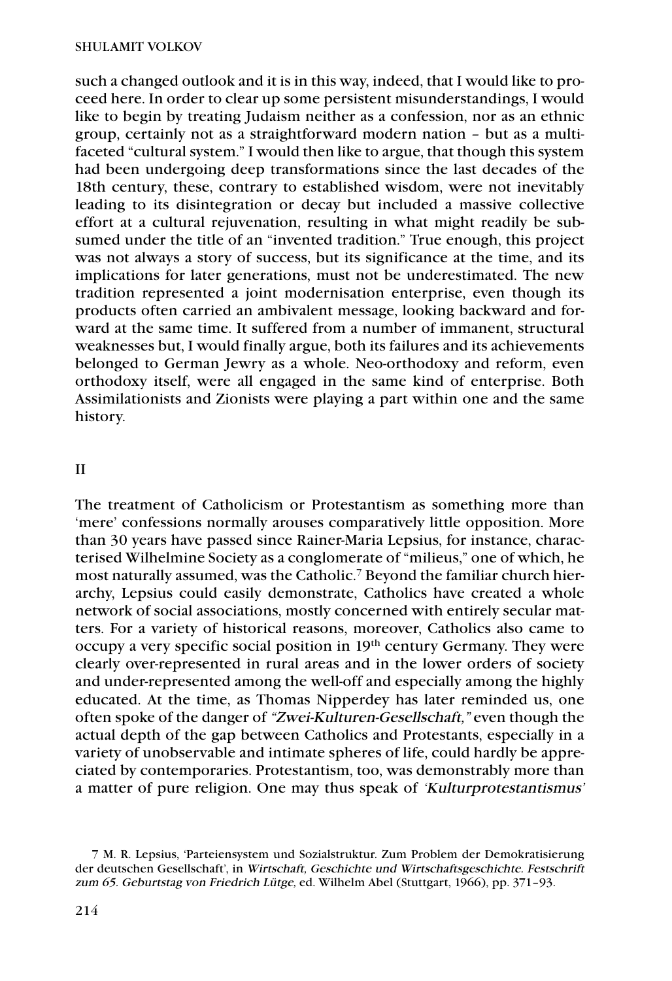such a changed outlook and it is in this way, indeed, that I would like to proceed here. In order to clear up some persistent misunderstandings, I would like to begin by treating Judaism neither as a confession, nor as an ethnic group, certainly not as a straightforward modern nation – but as a multifaceted "cultural system." I would then like to argue, that though this system had been undergoing deep transformations since the last decades of the 18th century, these, contrary to established wisdom, were not inevitably leading to its disintegration or decay but included a massive collective effort at a cultural rejuvenation, resulting in what might readily be subsumed under the title of an "invented tradition." True enough, this project was not always a story of success, but its significance at the time, and its implications for later generations, must not be underestimated. The new tradition represented a joint modernisation enterprise, even though its products often carried an ambivalent message, looking backward and forward at the same time. It suffered from a number of immanent, structural weaknesses but, I would finally argue, both its failures and its achievements belonged to German Jewry as a whole. Neo-orthodoxy and reform, even orthodoxy itself, were all engaged in the same kind of enterprise. Both Assimilationists and Zionists were playing a part within one and the same history.

## II

The treatment of Catholicism or Protestantism as something more than 'mere' confessions normally arouses comparatively little opposition. More than 30 years have passed since Rainer-Maria Lepsius, for instance, characterised Wilhelmine Society as a conglomerate of "milieus," one of which, he most naturally assumed, was the Catholic.7 Beyond the familiar church hierarchy, Lepsius could easily demonstrate, Catholics have created a whole network of social associations, mostly concerned with entirely secular matters. For a variety of historical reasons, moreover, Catholics also came to occupy a very specific social position in 19th century Germany. They were clearly over-represented in rural areas and in the lower orders of society and under-represented among the well-off and especially among the highly educated. At the time, as Thomas Nipperdey has later reminded us, one often spoke of the danger of "Zwei-Kulturen-Gesellschaft," even though the actual depth of the gap between Catholics and Protestants, especially in a variety of unobservable and intimate spheres of life, could hardly be appreciated by contemporaries. Protestantism, too, was demonstrably more than a matter of pure religion. One may thus speak of 'Kulturprotestantismus'

<sup>7</sup> M. R. Lepsius, 'Parteiensystem und Sozialstruktur. Zum Problem der Demokratisierung der deutschen Gesellschaft', in Wirtschaft, Geschichte und Wirtschaftsgeschichte. Festschrift zum 65. Geburtstag von Friedrich Lütge, ed. Wilhelm Abel (Stuttgart, 1966), pp. 371–93.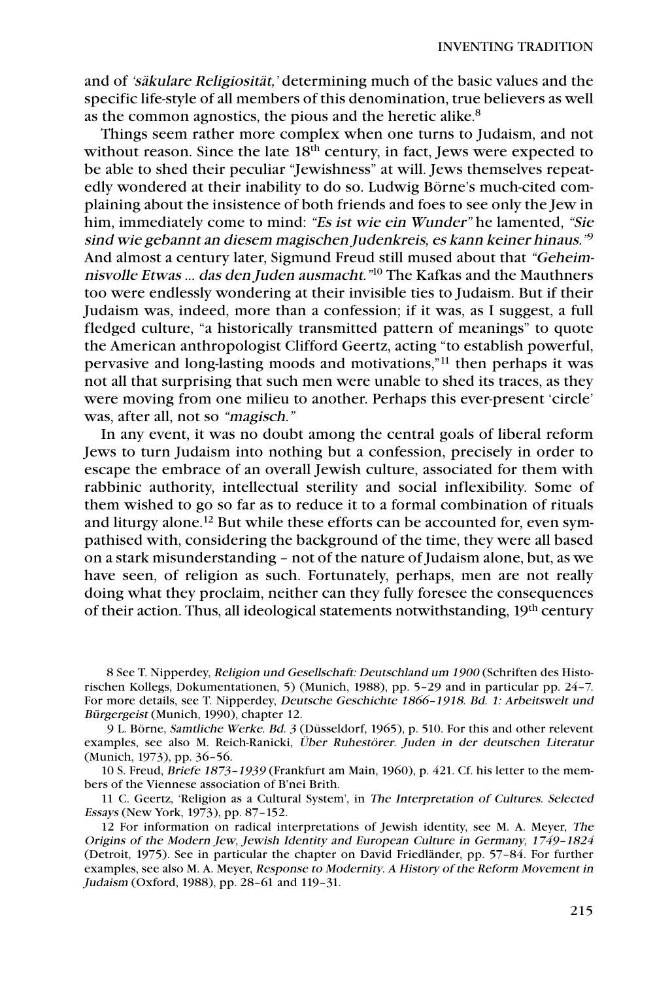and of 'säkulare Religiosität,' determining much of the basic values and the specific life-style of all members of this denomination, true believers as well as the common agnostics, the pious and the heretic alike.8

Things seem rather more complex when one turns to Judaism, and not without reason. Since the late 18<sup>th</sup> century, in fact, Jews were expected to be able to shed their peculiar "Jewishness" at will. Jews themselves repeatedly wondered at their inability to do so. Ludwig Börne's much-cited complaining about the insistence of both friends and foes to see only the Jew in him, immediately come to mind: "Es ist wie ein Wunder" he lamented, "Sie sind wie gebannt an diesem magischen Judenkreis, es kann keiner hinaus."<sup>9</sup> And almost a century later, Sigmund Freud still mused about that "Geheimnisvolle Etwas … das den Juden ausmacht."<sup>10</sup> The Kafkas and the Mauthners too were endlessly wondering at their invisible ties to Judaism. But if their Judaism was, indeed, more than a confession; if it was, as I suggest, a full fledged culture, "a historically transmitted pattern of meanings" to quote the American anthropologist Clifford Geertz, acting "to establish powerful, pervasive and long-lasting moods and motivations,"11 then perhaps it was not all that surprising that such men were unable to shed its traces, as they were moving from one milieu to another. Perhaps this ever-present 'circle' was, after all, not so "magisch."

In any event, it was no doubt among the central goals of liberal reform Jews to turn Judaism into nothing but a confession, precisely in order to escape the embrace of an overall Jewish culture, associated for them with rabbinic authority, intellectual sterility and social inflexibility. Some of them wished to go so far as to reduce it to a formal combination of rituals and liturgy alone.<sup>12</sup> But while these efforts can be accounted for, even sympathised with, considering the background of the time, they were all based on a stark misunderstanding – not of the nature of Judaism alone, but, as we have seen, of religion as such. Fortunately, perhaps, men are not really doing what they proclaim, neither can they fully foresee the consequences of their action. Thus, all ideological statements notwithstanding, 19<sup>th</sup> century

8 See T. Nipperdey, Religion und Gesellschaft: Deutschland um 1900 (Schriften des Historischen Kollegs, Dokumentationen, 5) (Munich, 1988), pp. 5–29 and in particular pp. 24–7. For more details, see T. Nipperdey, Deutsche Geschichte 1866–1918. Bd. 1: Arbeitswelt und Bürgergeist (Munich, 1990), chapter 12.

9 L. Börne, Samtliche Werke. Bd. 3 (Düsseldorf, 1965), p. 510. For this and other relevent examples, see also M. Reich-Ranicki, Über Ruhestörer. Juden in der deutschen Literatur (Munich, 1973), pp. 36–56.

10 S. Freud, Briefe 1873–1939 (Frankfurt am Main, 1960), p. 421. Cf. his letter to the members of the Viennese association of B'nei Brith.

11 C. Geertz, 'Religion as a Cultural System', in The Interpretation of Cultures. Selected Essays (New York, 1973), pp. 87–152.

12 For information on radical interpretations of Jewish identity, see M. A. Meyer, The Origins of the Modern Jew, Jewish Identity and European Culture in Germany, 1749–1824 (Detroit, 1975). See in particular the chapter on David Friedländer, pp. 57–84. For further examples, see also M. A. Meyer, Response to Modernity. A History of the Reform Movement in Judaism (Oxford, 1988), pp. 28–61 and 119–31.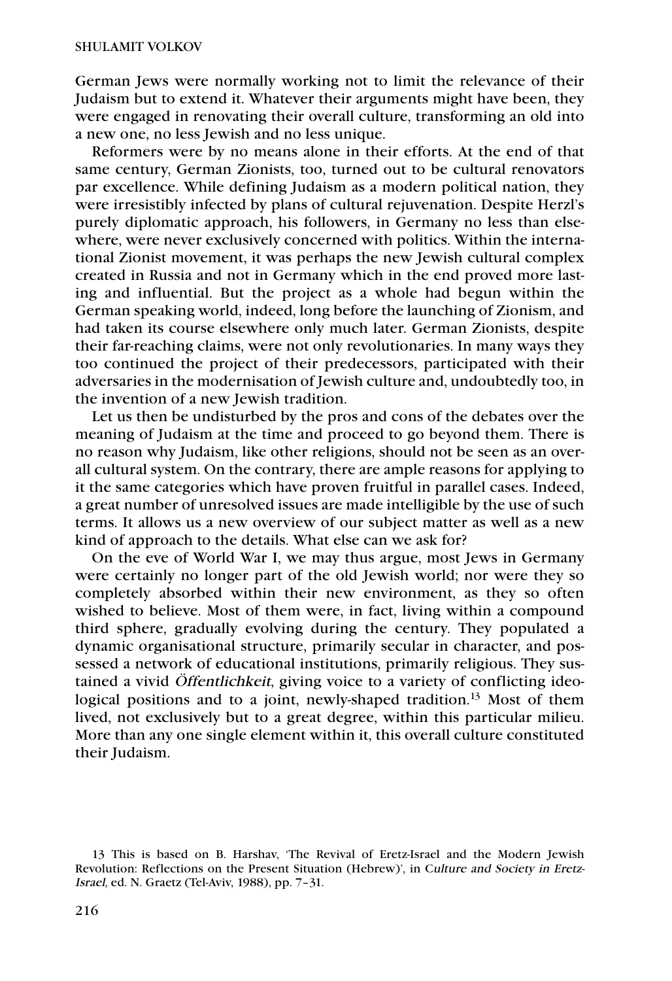German Jews were normally working not to limit the relevance of their Judaism but to extend it. Whatever their arguments might have been, they were engaged in renovating their overall culture, transforming an old into a new one, no less Jewish and no less unique.

Reformers were by no means alone in their efforts. At the end of that same century, German Zionists, too, turned out to be cultural renovators par excellence. While defining Judaism as a modern political nation, they were irresistibly infected by plans of cultural rejuvenation. Despite Herzl's purely diplomatic approach, his followers, in Germany no less than elsewhere, were never exclusively concerned with politics. Within the international Zionist movement, it was perhaps the new Jewish cultural complex created in Russia and not in Germany which in the end proved more lasting and influential. But the project as a whole had begun within the German speaking world, indeed, long before the launching of Zionism, and had taken its course elsewhere only much later. German Zionists, despite their far-reaching claims, were not only revolutionaries. In many ways they too continued the project of their predecessors, participated with their adversaries in the modernisation of Jewish culture and, undoubtedly too, in the invention of a new Jewish tradition.

Let us then be undisturbed by the pros and cons of the debates over the meaning of Judaism at the time and proceed to go beyond them. There is no reason why Judaism, like other religions, should not be seen as an overall cultural system. On the contrary, there are ample reasons for applying to it the same categories which have proven fruitful in parallel cases. Indeed, a great number of unresolved issues are made intelligible by the use of such terms. It allows us a new overview of our subject matter as well as a new kind of approach to the details. What else can we ask for?

On the eve of World War I, we may thus argue, most Jews in Germany were certainly no longer part of the old Jewish world; nor were they so completely absorbed within their new environment, as they so often wished to believe. Most of them were, in fact, living within a compound third sphere, gradually evolving during the century. They populated a dynamic organisational structure, primarily secular in character, and possessed a network of educational institutions, primarily religious. They sustained a vivid Öffentlichkeit, giving voice to a variety of conflicting ideological positions and to a joint, newly-shaped tradition.<sup>13</sup> Most of them lived, not exclusively but to a great degree, within this particular milieu. More than any one single element within it, this overall culture constituted their Judaism.

<sup>13</sup> This is based on B. Harshav, 'The Revival of Eretz-Israel and the Modern Jewish Revolution: Reflections on the Present Situation (Hebrew)', in Culture and Society in Eretz-Israel, ed. N. Graetz (Tel-Aviv, 1988), pp. 7–31.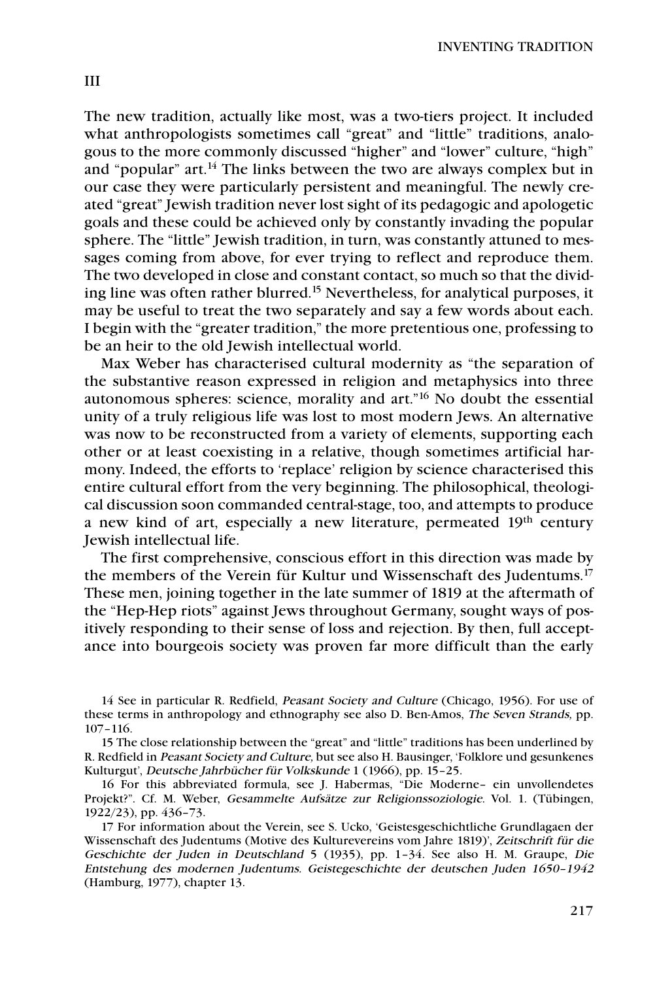The new tradition, actually like most, was a two-tiers project. It included what anthropologists sometimes call "great" and "little" traditions, analogous to the more commonly discussed "higher" and "lower" culture, "high" and "popular" art.<sup>14</sup> The links between the two are always complex but in our case they were particularly persistent and meaningful. The newly created "great" Jewish tradition never lost sight of its pedagogic and apologetic goals and these could be achieved only by constantly invading the popular sphere. The "little" Jewish tradition, in turn, was constantly attuned to messages coming from above, for ever trying to reflect and reproduce them. The two developed in close and constant contact, so much so that the dividing line was often rather blurred.15 Nevertheless, for analytical purposes, it may be useful to treat the two separately and say a few words about each. I begin with the "greater tradition," the more pretentious one, professing to be an heir to the old Jewish intellectual world.

Max Weber has characterised cultural modernity as "the separation of the substantive reason expressed in religion and metaphysics into three autonomous spheres: science, morality and art."16 No doubt the essential unity of a truly religious life was lost to most modern Jews. An alternative was now to be reconstructed from a variety of elements, supporting each other or at least coexisting in a relative, though sometimes artificial harmony. Indeed, the efforts to 'replace' religion by science characterised this entire cultural effort from the very beginning. The philosophical, theological discussion soon commanded central-stage, too, and attempts to produce a new kind of art, especially a new literature, permeated 19th century Jewish intellectual life.

The first comprehensive, conscious effort in this direction was made by the members of the Verein für Kultur und Wissenschaft des Judentums.17 These men, joining together in the late summer of 1819 at the aftermath of the "Hep-Hep riots" against Jews throughout Germany, sought ways of positively responding to their sense of loss and rejection. By then, full acceptance into bourgeois society was proven far more difficult than the early

<sup>14</sup> See in particular R. Redfield, Peasant Society and Culture (Chicago, 1956). For use of these terms in anthropology and ethnography see also D. Ben-Amos, The Seven Strands, pp. 107–116.

<sup>15</sup> The close relationship between the "great" and "little" traditions has been underlined by R. Redfield in Peasant Society and Culture, but see also H. Bausinger, 'Folklore und gesunkenes Kulturgut', Deutsche Jahrbücher für Volkskunde 1 (1966), pp. 15–25.

<sup>16</sup> For this abbreviated formula, see J. Habermas, "Die Moderne– ein unvollendetes Projekt?". Cf. M. Weber, Gesammelte Aufsätze zur Religionssoziologie. Vol. 1. (Tübingen, 1922/23), pp. 436–73.

<sup>17</sup> For information about the Verein, see S. Ucko, 'Geistesgeschichtliche Grundlagaen der Wissenschaft des Judentums (Motive des Kulturevereins vom Jahre 1819)', Zeitschrift für die Geschichte der Juden in Deutschland 5 (1935), pp. 1–34. See also H. M. Graupe, Die Entstehung des modernen Judentums. Geistegeschichte der deutschen Juden 1650–1942 (Hamburg, 1977), chapter 13.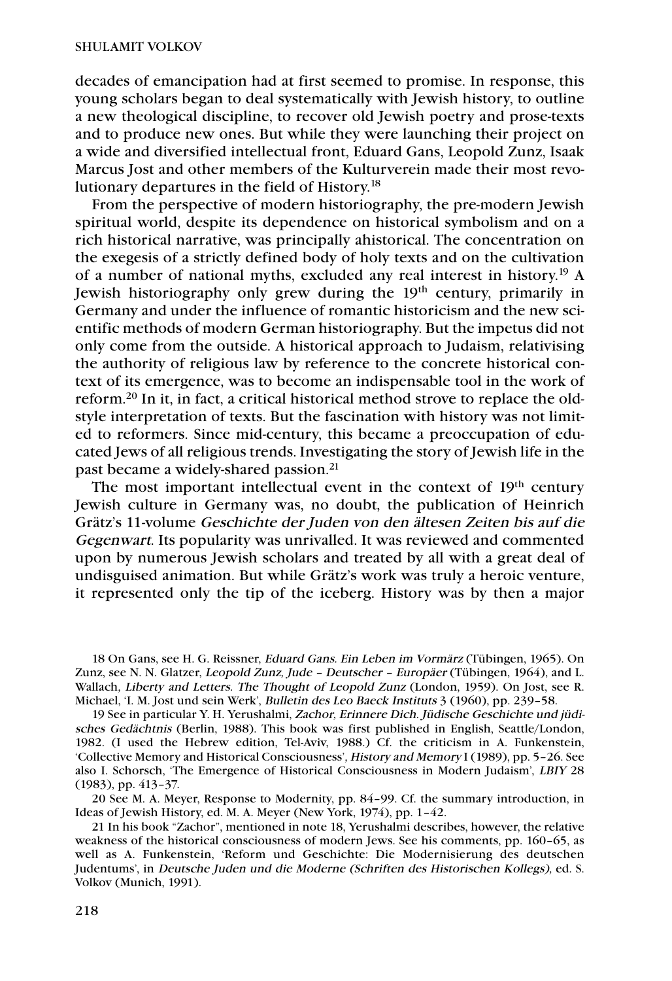decades of emancipation had at first seemed to promise. In response, this young scholars began to deal systematically with Jewish history, to outline a new theological discipline, to recover old Jewish poetry and prose-texts and to produce new ones. But while they were launching their project on a wide and diversified intellectual front, Eduard Gans, Leopold Zunz, Isaak Marcus Jost and other members of the Kulturverein made their most revolutionary departures in the field of History. 18

From the perspective of modern historiography, the pre-modern Jewish spiritual world, despite its dependence on historical symbolism and on a rich historical narrative, was principally ahistorical. The concentration on the exegesis of a strictly defined body of holy texts and on the cultivation of a number of national myths, excluded any real interest in history. <sup>19</sup> A Jewish historiography only grew during the 19<sup>th</sup> century, primarily in Germany and under the influence of romantic historicism and the new scientific methods of modern German historiography. But the impetus did not only come from the outside. A historical approach to Judaism, relativising the authority of religious law by reference to the concrete historical context of its emergence, was to become an indispensable tool in the work of reform.20 In it, in fact, a critical historical method strove to replace the oldstyle interpretation of texts. But the fascination with history was not limited to reformers. Since mid-century, this became a preoccupation of educated Jews of all religious trends. Investigating the story of Jewish life in the past became a widely-shared passion.<sup>21</sup>

The most important intellectual event in the context of 19<sup>th</sup> century Jewish culture in Germany was, no doubt, the publication of Heinrich Grätz's 11-volume Geschichte der Juden von den ältesen Zeiten bis auf die Gegenwart. Its popularity was unrivalled. It was reviewed and commented upon by numerous Jewish scholars and treated by all with a great deal of undisguised animation. But while Grätz's work was truly a heroic venture, it represented only the tip of the iceberg. History was by then a major

18 On Gans, see H. G. Reissner, Eduard Gans. Ein Leben im Vormärz (Tübingen, 1965). On Zunz, see N. N. Glatzer, Leopold Zunz, Jude – Deutscher – Europäer (Tübingen, 1964), and L. Wallach, Liberty and Letters. The Thought of Leopold Zunz (London, 1959). On Jost, see R. Michael, 'I. M. Jost und sein Werk', Bulletin des Leo Baeck Instituts 3 (1960), pp. 239–58.

19 See in particular Y. H. Yerushalmi, Zachor, Erinnere Dich. Jüdische Geschichte und jüdisches Gedächtnis (Berlin, 1988). This book was first published in English, Seattle/London, 1982. (I used the Hebrew edition, Tel-Aviv, 1988.) Cf. the criticism in A. Funkenstein, 'Collective Memory and Historical Consciousness', History and Memory I (1989), pp. 5–26. See also I. Schorsch, 'The Emergence of Historical Consciousness in Modern Judaism', LBIY 28 (1983), pp. 413–37.

20 See M. A. Meyer, Response to Modernity, pp. 84–99. Cf. the summary introduction, in Ideas of Jewish History, ed. M. A. Meyer (New York, 1974), pp. 1–42.

21 In his book "Zachor", mentioned in note 18, Yerushalmi describes, however, the relative weakness of the historical consciousness of modern Jews. See his comments, pp. 160–65, as well as A. Funkenstein, 'Reform und Geschichte: Die Modernisierung des deutschen Judentums', in Deutsche Juden und die Moderne (Schriften des Historischen Kollegs), ed. S. Volkov (Munich, 1991).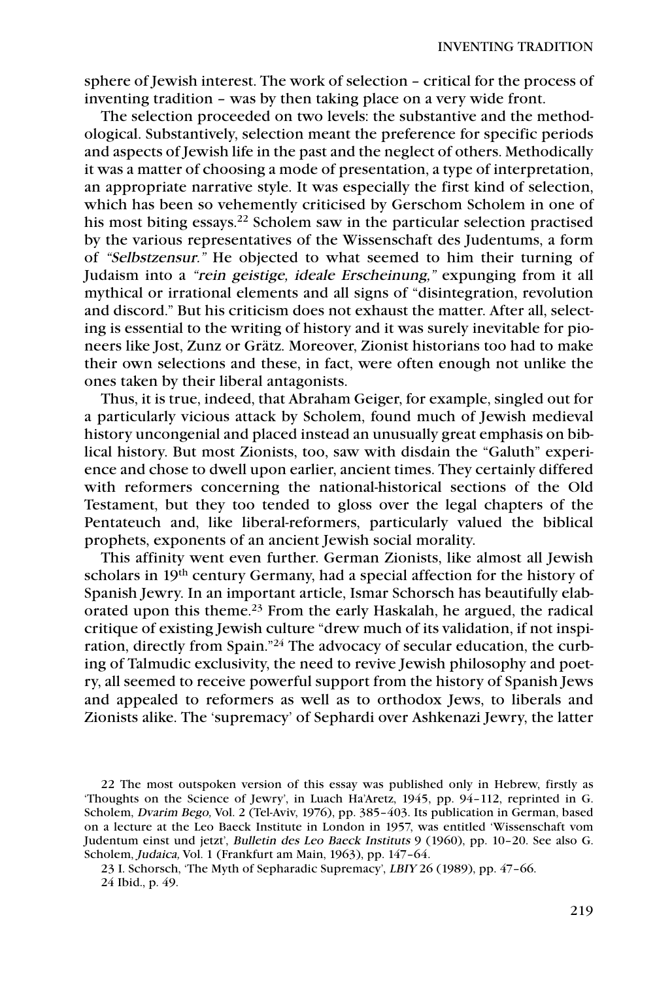sphere of Jewish interest. The work of selection – critical for the process of inventing tradition – was by then taking place on a very wide front.

The selection proceeded on two levels: the substantive and the methodological. Substantively, selection meant the preference for specific periods and aspects of Jewish life in the past and the neglect of others. Methodically it was a matter of choosing a mode of presentation, a type of interpretation, an appropriate narrative style. It was especially the first kind of selection, which has been so vehemently criticised by Gerschom Scholem in one of his most biting essays.<sup>22</sup> Scholem saw in the particular selection practised by the various representatives of the Wissenschaft des Judentums, a form of "Selbstzensur." He objected to what seemed to him their turning of Judaism into a "rein geistige, ideale Erscheinung," expunging from it all mythical or irrational elements and all signs of "disintegration, revolution and discord." But his criticism does not exhaust the matter. After all, selecting is essential to the writing of history and it was surely inevitable for pioneers like Jost, Zunz or Grätz. Moreover, Zionist historians too had to make their own selections and these, in fact, were often enough not unlike the ones taken by their liberal antagonists.

Thus, it is true, indeed, that Abraham Geiger, for example, singled out for a particularly vicious attack by Scholem, found much of Jewish medieval history uncongenial and placed instead an unusually great emphasis on biblical history. But most Zionists, too, saw with disdain the "Galuth" experience and chose to dwell upon earlier, ancient times. They certainly differed with reformers concerning the national-historical sections of the Old Testament, but they too tended to gloss over the legal chapters of the Pentateuch and, like liberal-reformers, particularly valued the biblical prophets, exponents of an ancient Jewish social morality.

This affinity went even further. German Zionists, like almost all Jewish scholars in 19<sup>th</sup> century Germany, had a special affection for the history of Spanish Jewry. In an important article, Ismar Schorsch has beautifully elaborated upon this theme.<sup>23</sup> From the early Haskalah, he argued, the radical critique of existing Jewish culture "drew much of its validation, if not inspiration, directly from Spain."24 The advocacy of secular education, the curbing of Talmudic exclusivity, the need to revive Jewish philosophy and poetry, all seemed to receive powerful support from the history of Spanish Jews and appealed to reformers as well as to orthodox Jews, to liberals and Zionists alike. The 'supremacy' of Sephardi over Ashkenazi Jewry, the latter

<sup>22</sup> The most outspoken version of this essay was published only in Hebrew, firstly as 'Thoughts on the Science of Jewry', in Luach Ha'Aretz, 1945, pp. 94–112, reprinted in G. Scholem, Dvarim Bego, Vol. 2 (Tel-Aviv, 1976), pp. 385–403. Its publication in German, based on a lecture at the Leo Baeck Institute in London in 1957, was entitled 'Wissenschaft vom Judentum einst und jetzt', Bulletin des Leo Baeck Instituts 9 (1960), pp. 10–20. See also G. Scholem, Judaica, Vol. 1 (Frankfurt am Main, 1963), pp. 147–64.

<sup>23</sup> I. Schorsch, 'The Myth of Sepharadic Supremacy', LBIY 26 (1989), pp. 47–66. 24 Ibid., p. 49.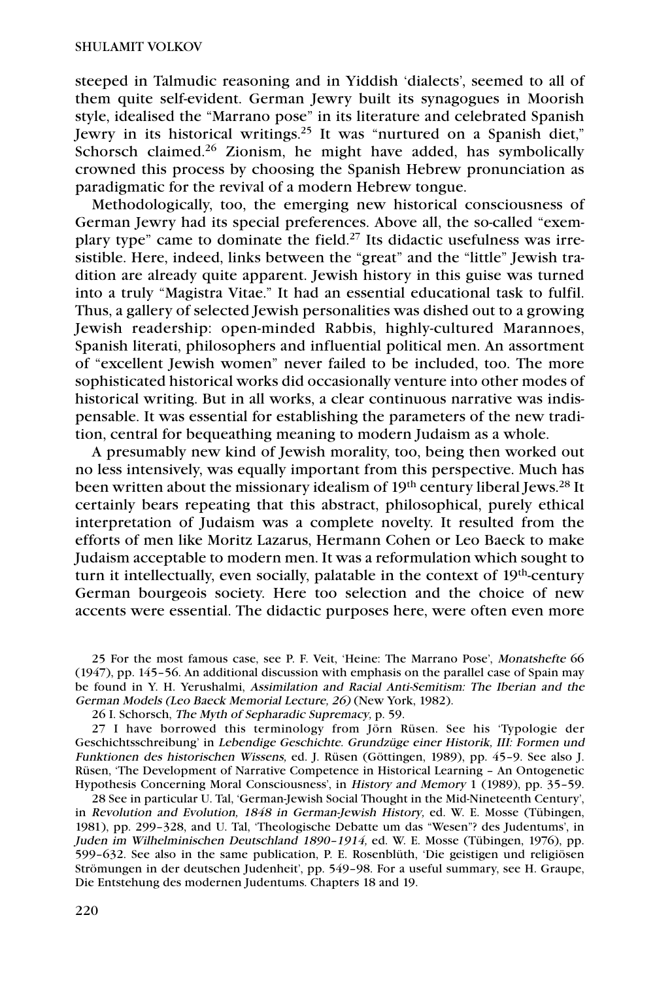steeped in Talmudic reasoning and in Yiddish 'dialects', seemed to all of them quite self-evident. German Jewry built its synagogues in Moorish style, idealised the "Marrano pose" in its literature and celebrated Spanish Jewry in its historical writings.25 It was "nurtured on a Spanish diet," Schorsch claimed.<sup>26</sup> Zionism, he might have added, has symbolically crowned this process by choosing the Spanish Hebrew pronunciation as paradigmatic for the revival of a modern Hebrew tongue.

Methodologically, too, the emerging new historical consciousness of German Jewry had its special preferences. Above all, the so-called "exemplary type" came to dominate the field.<sup>27</sup> Its didactic usefulness was irresistible. Here, indeed, links between the "great" and the "little" Jewish tradition are already quite apparent. Jewish history in this guise was turned into a truly "Magistra Vitae." It had an essential educational task to fulfil. Thus, a gallery of selected Jewish personalities was dished out to a growing Jewish readership: open-minded Rabbis, highly-cultured Marannoes, Spanish literati, philosophers and influential political men. An assortment of "excellent Jewish women" never failed to be included, too. The more sophisticated historical works did occasionally venture into other modes of historical writing. But in all works, a clear continuous narrative was indispensable. It was essential for establishing the parameters of the new tradition, central for bequeathing meaning to modern Judaism as a whole.

A presumably new kind of Jewish morality, too, being then worked out no less intensively, was equally important from this perspective. Much has been written about the missionary idealism of 19<sup>th</sup> century liberal Jews.<sup>28</sup> It certainly bears repeating that this abstract, philosophical, purely ethical interpretation of Judaism was a complete novelty. It resulted from the efforts of men like Moritz Lazarus, Hermann Cohen or Leo Baeck to make Judaism acceptable to modern men. It was a reformulation which sought to turn it intellectually, even socially, palatable in the context of 19<sup>th</sup>-century German bourgeois society. Here too selection and the choice of new accents were essential. The didactic purposes here, were often even more

25 For the most famous case, see P. F. Veit, 'Heine: The Marrano Pose', Monatshefte 66 (1947), pp. 145–56. An additional discussion with emphasis on the parallel case of Spain may be found in Y. H. Yerushalmi, Assimilation and Racial Anti-Semitism: The Iberian and the German Models (Leo Baeck Memorial Lecture, 26) (New York, 1982).

26 I. Schorsch, The Myth of Sepharadic Supremacy, p. 59.

27 I have borrowed this terminology from Jörn Rüsen. See his 'Typologie der Geschichtsschreibung' in Lebendige Geschichte. Grundzüge einer Historik, III: Formen und Funktionen des historischen Wissens, ed. J. Rüsen (Göttingen, 1989), pp. 45–9. See also J. Rüsen, 'The Development of Narrative Competence in Historical Learning – An Ontogenetic Hypothesis Concerning Moral Consciousness', in History and Memory 1 (1989), pp. 35–59.

28 See in particular U. Tal, 'German-Jewish Social Thought in the Mid-Nineteenth Century', in Revolution and Evolution, 1848 in German-Jewish History, ed. W. E. Mosse (Tübingen, 1981), pp. 299–328, and U. Tal, 'Theologische Debatte um das "Wesen"? des Judentums', in Juden im Wilhelminischen Deutschland 1890–1914, ed. W. E. Mosse (Tübingen, 1976), pp. 599–632. See also in the same publication, P. E. Rosenblüth, 'Die geistigen und religiösen Strömungen in der deutschen Judenheit', pp. 549–98. For a useful summary, see H. Graupe, Die Entstehung des modernen Judentums. Chapters 18 and 19.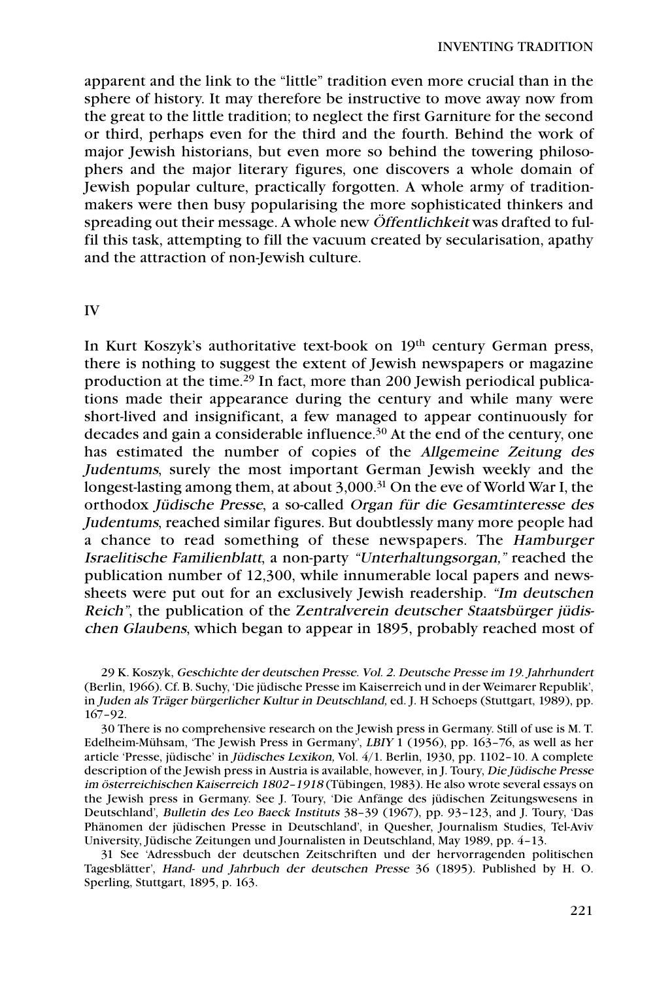apparent and the link to the "little" tradition even more crucial than in the sphere of history. It may therefore be instructive to move away now from the great to the little tradition; to neglect the first Garniture for the second or third, perhaps even for the third and the fourth. Behind the work of major Jewish historians, but even more so behind the towering philosophers and the major literary figures, one discovers a whole domain of Jewish popular culture, practically forgotten. A whole army of traditionmakers were then busy popularising the more sophisticated thinkers and spreading out their message. A whole new Öffentlichkeit was drafted to fulfil this task, attempting to fill the vacuum created by secularisation, apathy and the attraction of non-Jewish culture.

IV

In Kurt Koszyk's authoritative text-book on 19<sup>th</sup> century German press, there is nothing to suggest the extent of Jewish newspapers or magazine production at the time.29 In fact, more than 200 Jewish periodical publications made their appearance during the century and while many were short-lived and insignificant, a few managed to appear continuously for decades and gain a considerable influence.<sup>30</sup> At the end of the century, one has estimated the number of copies of the Allgemeine Zeitung des Judentums, surely the most important German Jewish weekly and the longest-lasting among them, at about 3,000.<sup>31</sup> On the eve of World War I, the orthodox Jüdische Presse, a so-called Organ für die Gesamtinteresse des Judentums, reached similar figures. But doubtlessly many more people had a chance to read something of these newspapers. The Hamburger Israelitische Familienblatt, a non-party "Unterhaltungsorgan," reached the publication number of 12,300, while innumerable local papers and newssheets were put out for an exclusively Jewish readership. "Im deutschen Reich", the publication of the Zentralverein deutscher Staatsbürger jüdischen Glaubens, which began to appear in 1895, probably reached most of

29 K. Koszyk, Geschichte der deutschen Presse. Vol. 2. Deutsche Presse im 19. Jahrhundert (Berlin, 1966). Cf. B. Suchy, 'Die jüdische Presse im Kaiserreich und in der Weimarer Republik', in Juden als Träger bürgerlicher Kultur in Deutschland, ed. J. H Schoeps (Stuttgart, 1989), pp. 167–92.

30 There is no comprehensive research on the Jewish press in Germany. Still of use is M. T. Edelheim-Mühsam, 'The Jewish Press in Germany', LBIY 1 (1956), pp. 163–76, as well as her article 'Presse, jüdische' in Jüdisches Lexikon, Vol. 4/1. Berlin, 1930, pp. 1102–10. A complete description of the Jewish press in Austria is available, however, in J. Toury, Die Jüdische Presse im österreichischen Kaiserreich 1802–1918 (Tübingen, 1983). He also wrote several essays on the Jewish press in Germany. See J. Toury, 'Die Anfänge des jüdischen Zeitungswesens in Deutschland', Bulletin des Leo Baeck Instituts 38–39 (1967), pp. 93–123, and J. Toury, 'Das Phänomen der jüdischen Presse in Deutschland', in Quesher, Journalism Studies, Tel-Aviv University, Jüdische Zeitungen und Journalisten in Deutschland, May 1989, pp. 4–13.

31 See 'Adressbuch der deutschen Zeitschriften und der hervorragenden politischen Tagesblätter', Hand- und Jahrbuch der deutschen Presse 36 (1895). Published by H. O. Sperling, Stuttgart, 1895, p. 163.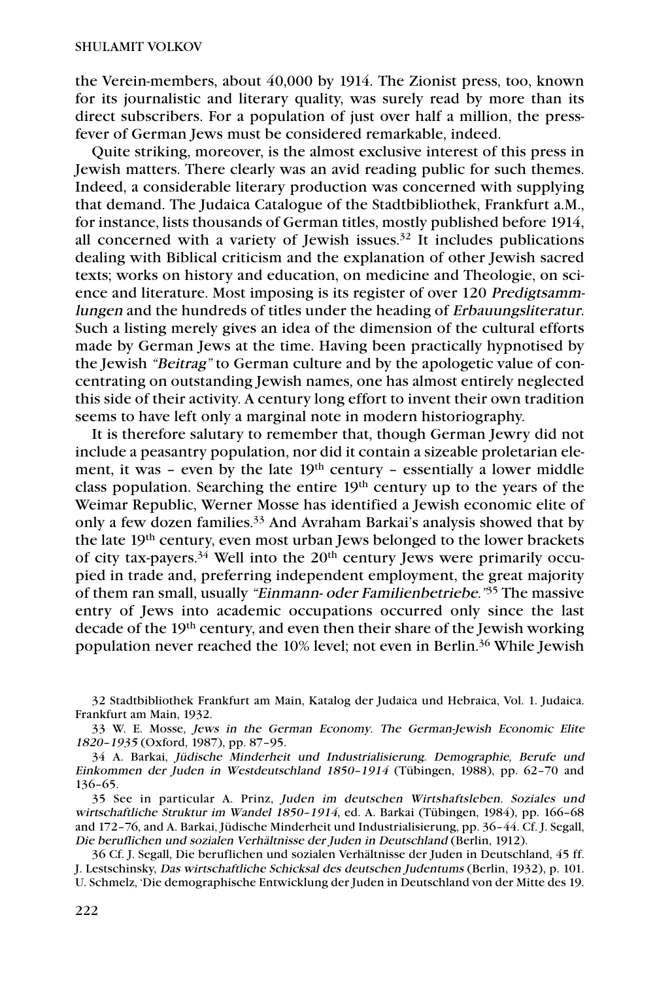the Verein-members, about 40,000 by 1914. The Zionist press, too, known for its journalistic and literary quality, was surely read by more than its direct subscribers. For a population of just over half a million, the pressfever of German Jews must be considered remarkable, indeed.

Quite striking, moreover, is the almost exclusive interest of this press in Jewish matters. There clearly was an avid reading public for such themes. Indeed, a considerable literary production was concerned with supplying that demand. The Judaica Catalogue of the Stadtbibliothek, Frankfurt a.M., for instance, lists thousands of German titles, mostly published before 1914, all concerned with a variety of Jewish issues. $32$  It includes publications dealing with Biblical criticism and the explanation of other Jewish sacred texts; works on history and education, on medicine and Theologie, on science and literature. Most imposing is its register of over 120 Predigtsammlungen and the hundreds of titles under the heading of Erbauungsliteratur. Such a listing merely gives an idea of the dimension of the cultural efforts made by German Jews at the time. Having been practically hypnotised by the Jewish "Beitrag" to German culture and by the apologetic value of concentrating on outstanding Jewish names, one has almost entirely neglected this side of their activity. A century long effort to invent their own tradition seems to have left only a marginal note in modern historiography.

It is therefore salutary to remember that, though German Jewry did not include a peasantry population, nor did it contain a sizeable proletarian element, it was - even by the late 19<sup>th</sup> century - essentially a lower middle class population. Searching the entire 19<sup>th</sup> century up to the years of the Weimar Republic, Werner Mosse has identified a Jewish economic elite of only a few dozen families.<sup>33</sup> And Avraham Barkai's analysis showed that by the late 19th century, even most urban Jews belonged to the lower brackets of city tax-payers. $34$  Well into the 20<sup>th</sup> century Jews were primarily occupied in trade and, preferring independent employment, the great majority of them ran small, usually "Einmann- oder Familienbetriebe."<sup>35</sup> The massive entry of Jews into academic occupations occurred only since the last decade of the 19th century, and even then their share of the Jewish working population never reached the 10% level; not even in Berlin.36 While Jewish

<sup>32</sup> Stadtbibliothek Frankfurt am Main, Katalog der Judaica und Hebraica, Vol. 1. Judaica. Frankfurt am Main, 1932.

<sup>33</sup> W. E. Mosse, Jews in the German Economy. The German-Jewish Economic Elite 1820–1935 (Oxford, 1987), pp. 87–95.

<sup>34</sup> A. Barkai, Jüdische Minderheit und Industrialisierung. Demographie, Berufe und Einkommen der Juden in Westdeutschland 1850–1914 (Tübingen, 1988), pp. 62–70 and 136–65.

<sup>35</sup> See in particular A. Prinz, Juden im deutschen Wirtshaftsleben. Soziales und wirtschaftliche Struktur im Wandel 1850–1914, ed. A. Barkai (Tübingen, 1984), pp. 166–68 and 172–76, and A. Barkai, Jüdische Minderheit und Industrialisierung, pp. 36–44. Cf. J. Segall, Die beruflichen und sozialen Verhältnisse der Juden in Deutschland (Berlin, 1912).

<sup>36</sup> Cf. J. Segall, Die beruflichen und sozialen Verhältnisse der Juden in Deutschland, 45 ff. J. Lestschinsky, Das wirtschaftliche Schicksal des deutschen Judentums (Berlin, 1932), p. 101. U. Schmelz, 'Die demographische Entwicklung der Juden in Deutschland von der Mitte des 19.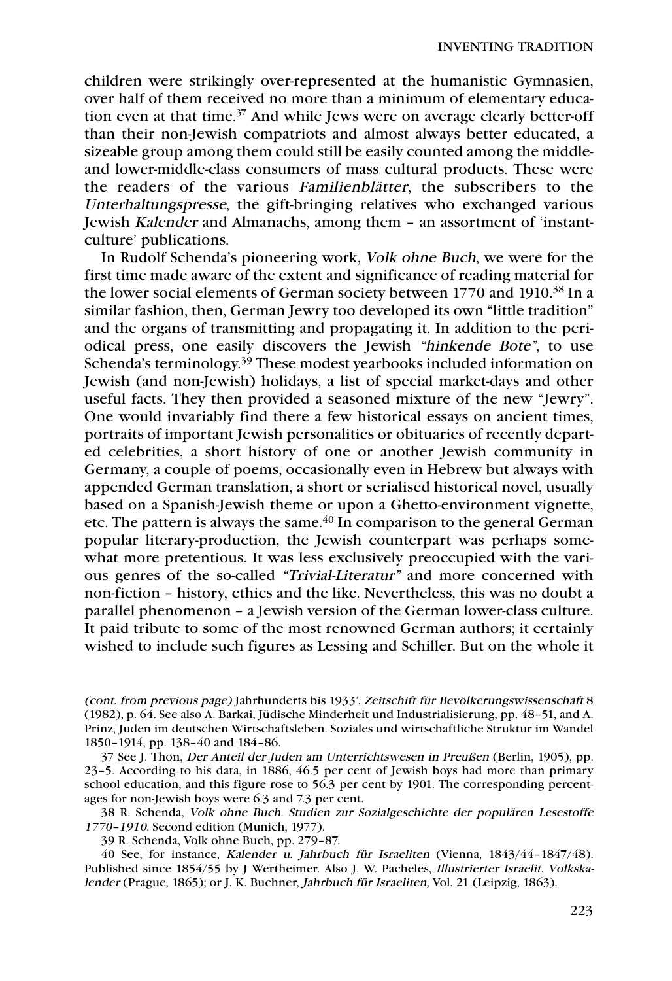children were strikingly over-represented at the humanistic Gymnasien, over half of them received no more than a minimum of elementary education even at that time.<sup>37</sup> And while Jews were on average clearly better-off than their non-Jewish compatriots and almost always better educated, a sizeable group among them could still be easily counted among the middleand lower-middle-class consumers of mass cultural products. These were the readers of the various Familienblätter, the subscribers to the Unterhaltungspresse, the gift-bringing relatives who exchanged various Jewish Kalender and Almanachs, among them – an assortment of 'instantculture' publications.

In Rudolf Schenda's pioneering work, Volk ohne Buch, we were for the first time made aware of the extent and significance of reading material for the lower social elements of German society between 1770 and 1910.38 In a similar fashion, then, German Jewry too developed its own "little tradition" and the organs of transmitting and propagating it. In addition to the periodical press, one easily discovers the Jewish "hinkende Bote", to use Schenda's terminology. <sup>39</sup> These modest yearbooks included information on Jewish (and non-Jewish) holidays, a list of special market-days and other useful facts. They then provided a seasoned mixture of the new "Jewry". One would invariably find there a few historical essays on ancient times, portraits of important Jewish personalities or obituaries of recently departed celebrities, a short history of one or another Jewish community in Germany, a couple of poems, occasionally even in Hebrew but always with appended German translation, a short or serialised historical novel, usually based on a Spanish-Jewish theme or upon a Ghetto-environment vignette, etc. The pattern is always the same.<sup>40</sup> In comparison to the general German popular literary-production, the Jewish counterpart was perhaps somewhat more pretentious. It was less exclusively preoccupied with the various genres of the so-called "Trivial-Literatur" and more concerned with non-fiction – history, ethics and the like. Nevertheless, this was no doubt a parallel phenomenon – a Jewish version of the German lower-class culture. It paid tribute to some of the most renowned German authors; it certainly wished to include such figures as Lessing and Schiller. But on the whole it

39 R. Schenda, Volk ohne Buch, pp. 279–87.

40 See, for instance, Kalender u. Jahrbuch für Israeliten (Vienna, 1843/44–1847/48). Published since 1854/55 by J Wertheimer. Also J. W. Pacheles, Illustrierter Israelit. Volkskalender (Prague, 1865); or J. K. Buchner, Jahrbuch für Israeliten, Vol. 21 (Leipzig, 1863).

<sup>(</sup>cont. from previous page) Jahrhunderts bis 1933', Zeitschift für Bevölkerungswissenschaft 8 (1982), p. 64. See also A. Barkai, Jüdische Minderheit und Industrialisierung, pp. 48–51, and A. Prinz, Juden im deutschen Wirtschaftsleben. Soziales und wirtschaftliche Struktur im Wandel 1850–1914, pp. 138–40 and 184–86.

<sup>37</sup> See J. Thon, Der Anteil der Juden am Unterrichtswesen in Preußen (Berlin, 1905), pp. 23–5. According to his data, in 1886, 46.5 per cent of Jewish boys had more than primary school education, and this figure rose to 56.3 per cent by 1901. The corresponding percentages for non-Jewish boys were 6.3 and 7.3 per cent.

<sup>38</sup> R. Schenda, Volk ohne Buch. Studien zur Sozialgeschichte der populären Lesestoffe 1770–1910. Second edition (Munich, 1977).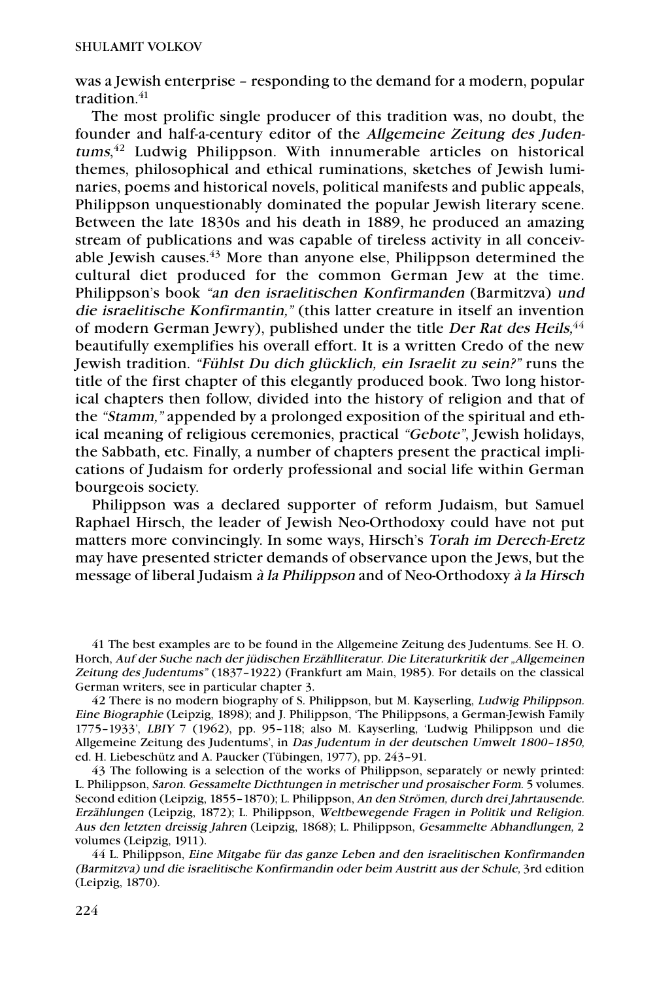was a Jewish enterprise – responding to the demand for a modern, popular tradition. $41$ 

The most prolific single producer of this tradition was, no doubt, the founder and half-a-century editor of the Allgemeine Zeitung des Judentums,<sup>42</sup> Ludwig Philippson. With innumerable articles on historical themes, philosophical and ethical ruminations, sketches of Jewish luminaries, poems and historical novels, political manifests and public appeals, Philippson unquestionably dominated the popular Jewish literary scene. Between the late 1830s and his death in 1889, he produced an amazing stream of publications and was capable of tireless activity in all conceivable Jewish causes. $43$  More than anyone else, Philippson determined the cultural diet produced for the common German Jew at the time. Philippson's book "an den israelitischen Konfirmanden (Barmitzva) und die israelitische Konfirmantin," (this latter creature in itself an invention of modern German Jewry), published under the title Der Rat des Heils,<sup>44</sup> beautifully exemplifies his overall effort. It is a written Credo of the new Jewish tradition. "Fühlst Du dich glücklich, ein Israelit zu sein?" runs the title of the first chapter of this elegantly produced book. Two long historical chapters then follow, divided into the history of religion and that of the "Stamm," appended by a prolonged exposition of the spiritual and ethical meaning of religious ceremonies, practical "Gebote", Jewish holidays, the Sabbath, etc. Finally, a number of chapters present the practical implications of Judaism for orderly professional and social life within German bourgeois society.

Philippson was a declared supporter of reform Judaism, but Samuel Raphael Hirsch, the leader of Jewish Neo-Orthodoxy could have not put matters more convincingly. In some ways, Hirsch's Torah im Derech-Eretz may have presented stricter demands of observance upon the Jews, but the message of liberal Judaism à la Philippson and of Neo-Orthodoxy à la Hirsch

41 The best examples are to be found in the Allgemeine Zeitung des Judentums. See H. O. Horch, Auf der Suche nach der jüdischen Erzählliteratur. Die Literaturkritik der "Allgemeinen Zeitung des Judentums" (1837–1922) (Frankfurt am Main, 1985). For details on the classical German writers, see in particular chapter 3.

42 There is no modern biography of S. Philippson, but M. Kayserling, Ludwig Philippson. Eine Biographie (Leipzig, 1898); and J. Philippson, 'The Philippsons, a German-Jewish Family 1775–1933', LBIY 7 (1962), pp. 95–118; also M. Kayserling, 'Ludwig Philippson und die Allgemeine Zeitung des Judentums', in Das Judentum in der deutschen Umwelt 1800–1850, ed. H. Liebeschütz and A. Paucker (Tübingen, 1977), pp. 243–91.

43 The following is a selection of the works of Philippson, separately or newly printed: L. Philippson, Saron. Gessamelte Dicthtungen in metrischer und prosaischer Form. 5 volumes. Second edition (Leipzig, 1855–1870); L. Philippson, An den Strömen, durch drei Jahrtausende. Erzählungen (Leipzig, 1872); L. Philippson, Weltbewegende Fragen in Politik und Religion. Aus den letzten dreissig Jahren (Leipzig, 1868); L. Philippson, Gesammelte Abhandlungen, 2 volumes (Leipzig, 1911).

44 L. Philippson, Eine Mitgabe für das ganze Leben and den israelitischen Konfirmanden (Barmitzva) und die israelitische Konfirmandin oder beim Austritt aus der Schule, 3rd edition (Leipzig, 1870).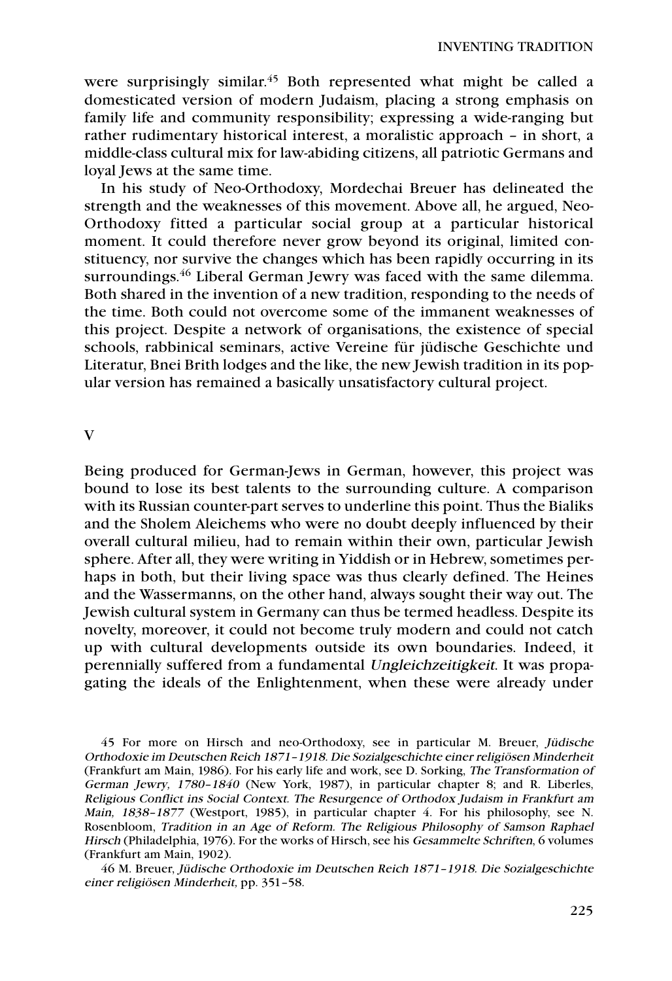were surprisingly similar. <sup>45</sup> Both represented what might be called a domesticated version of modern Judaism, placing a strong emphasis on family life and community responsibility; expressing a wide-ranging but rather rudimentary historical interest, a moralistic approach – in short, a middle-class cultural mix for law-abiding citizens, all patriotic Germans and loyal Jews at the same time.

In his study of Neo-Orthodoxy, Mordechai Breuer has delineated the strength and the weaknesses of this movement. Above all, he argued, Neo-Orthodoxy fitted a particular social group at a particular historical moment. It could therefore never grow beyond its original, limited constituency, nor survive the changes which has been rapidly occurring in its surroundings.<sup>46</sup> Liberal German Jewry was faced with the same dilemma. Both shared in the invention of a new tradition, responding to the needs of the time. Both could not overcome some of the immanent weaknesses of this project. Despite a network of organisations, the existence of special schools, rabbinical seminars, active Vereine für jüdische Geschichte und Literatur, Bnei Brith lodges and the like, the new Jewish tradition in its popular version has remained a basically unsatisfactory cultural project.

V

Being produced for German-Jews in German, however, this project was bound to lose its best talents to the surrounding culture. A comparison with its Russian counter-part serves to underline this point. Thus the Bialiks and the Sholem Aleichems who were no doubt deeply influenced by their overall cultural milieu, had to remain within their own, particular Jewish sphere. After all, they were writing in Yiddish or in Hebrew, sometimes perhaps in both, but their living space was thus clearly defined. The Heines and the Wassermanns, on the other hand, always sought their way out. The Jewish cultural system in Germany can thus be termed headless. Despite its novelty, moreover, it could not become truly modern and could not catch up with cultural developments outside its own boundaries. Indeed, it perennially suffered from a fundamental Ungleichzeitigkeit. It was propagating the ideals of the Enlightenment, when these were already under

45 For more on Hirsch and neo-Orthodoxy, see in particular M. Breuer, Jüdische Orthodoxie im Deutschen Reich 1871–1918. Die Sozialgeschichte einer religiösen Minderheit (Frankfurt am Main, 1986). For his early life and work, see D. Sorking, The Transformation of German Jewry, 1780–1840 (New York, 1987), in particular chapter 8; and R. Liberles, Religious Conflict ins Social Context. The Resurgence of Orthodox Judaism in Frankfurt am Main, 1838–1877 (Westport, 1985), in particular chapter 4. For his philosophy, see N. Rosenbloom, Tradition in an Age of Reform. The Religious Philosophy of Samson Raphael Hirsch (Philadelphia, 1976). For the works of Hirsch, see his Gesammelte Schriften, 6 volumes (Frankfurt am Main, 1902).

46 M. Breuer, Jüdische Orthodoxie im Deutschen Reich 1871–1918. Die Sozialgeschichte einer religiösen Minderheit, pp. 351–58.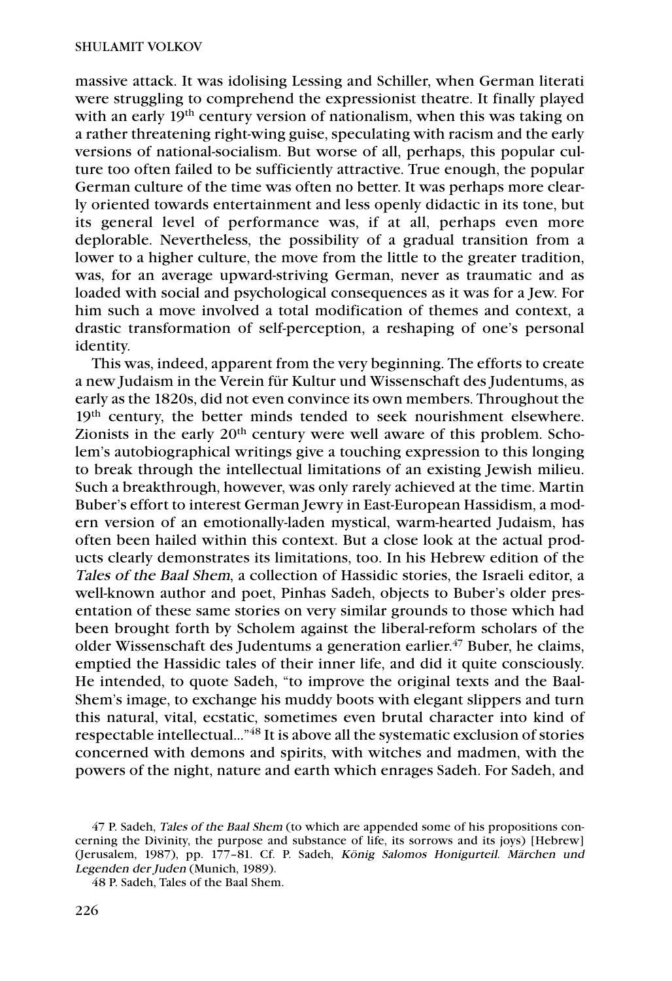massive attack. It was idolising Lessing and Schiller, when German literati were struggling to comprehend the expressionist theatre. It finally played with an early 19<sup>th</sup> century version of nationalism, when this was taking on a rather threatening right-wing guise, speculating with racism and the early versions of national-socialism. But worse of all, perhaps, this popular culture too often failed to be sufficiently attractive. True enough, the popular German culture of the time was often no better. It was perhaps more clearly oriented towards entertainment and less openly didactic in its tone, but its general level of performance was, if at all, perhaps even more deplorable. Nevertheless, the possibility of a gradual transition from a lower to a higher culture, the move from the little to the greater tradition, was, for an average upward-striving German, never as traumatic and as loaded with social and psychological consequences as it was for a Jew. For him such a move involved a total modification of themes and context, a drastic transformation of self-perception, a reshaping of one's personal identity.

This was, indeed, apparent from the very beginning. The efforts to create a new Judaism in the Verein für Kultur und Wissenschaft des Judentums, as early as the 1820s, did not even convince its own members. Throughout the 19<sup>th</sup> century, the better minds tended to seek nourishment elsewhere. Zionists in the early 20<sup>th</sup> century were well aware of this problem. Scholem's autobiographical writings give a touching expression to this longing to break through the intellectual limitations of an existing Jewish milieu. Such a breakthrough, however, was only rarely achieved at the time. Martin Buber's effort to interest German Jewry in East-European Hassidism, a modern version of an emotionally-laden mystical, warm-hearted Judaism, has often been hailed within this context. But a close look at the actual products clearly demonstrates its limitations, too. In his Hebrew edition of the Tales of the Baal Shem, a collection of Hassidic stories, the Israeli editor, a well-known author and poet, Pinhas Sadeh, objects to Buber's older presentation of these same stories on very similar grounds to those which had been brought forth by Scholem against the liberal-reform scholars of the older Wissenschaft des Judentums a generation earlier. <sup>47</sup> Buber, he claims, emptied the Hassidic tales of their inner life, and did it quite consciously. He intended, to quote Sadeh, "to improve the original texts and the Baal-Shem's image, to exchange his muddy boots with elegant slippers and turn this natural, vital, ecstatic, sometimes even brutal character into kind of respectable intellectual…"48 It is above all the systematic exclusion of stories concerned with demons and spirits, with witches and madmen, with the powers of the night, nature and earth which enrages Sadeh. For Sadeh, and

48 P. Sadeh, Tales of the Baal Shem.

<sup>47</sup> P. Sadeh, Tales of the Baal Shem (to which are appended some of his propositions concerning the Divinity, the purpose and substance of life, its sorrows and its joys) [Hebrew] (Jerusalem, 1987), pp. 177–81. Cf. P. Sadeh, König Salomos Honigurteil. Märchen und Legenden der Juden (Munich, 1989).